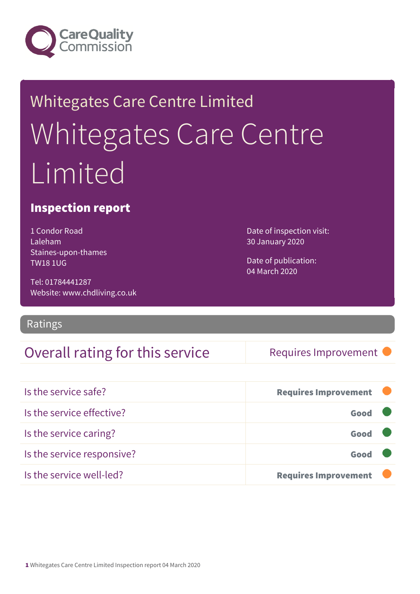

# Whitegates Care Centre Limited Whitegates Care Centre Limited

### Inspection report

1 Condor Road Laleham Staines-upon-thames TW18 1UG

Tel: 01784441287 Website: www.chdliving.co.uk

Ratings

### Overall rating for this service Requires Improvement

Date of inspection visit: 30 January 2020

Date of publication: 04 March 2020

| Is the service safe?       | <b>Requires Improvement</b> |  |
|----------------------------|-----------------------------|--|
| Is the service effective?  | Good                        |  |
| Is the service caring?     | Good                        |  |
| Is the service responsive? | Good                        |  |
| Is the service well-led?   | <b>Requires Improvement</b> |  |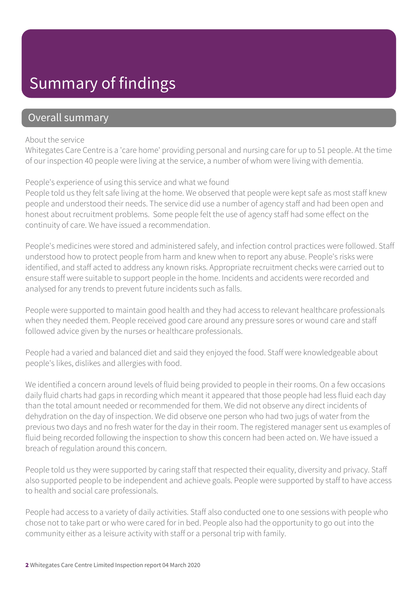### Summary of findings

### Overall summary

#### About the service

Whitegates Care Centre is a 'care home' providing personal and nursing care for up to 51 people. At the time of our inspection 40 people were living at the service, a number of whom were living with dementia.

#### People's experience of using this service and what we found

People told us they felt safe living at the home. We observed that people were kept safe as most staff knew people and understood their needs. The service did use a number of agency staff and had been open and honest about recruitment problems. Some people felt the use of agency staff had some effect on the continuity of care. We have issued a recommendation.

People's medicines were stored and administered safely, and infection control practices were followed. Staff understood how to protect people from harm and knew when to report any abuse. People's risks were identified, and staff acted to address any known risks. Appropriate recruitment checks were carried out to ensure staff were suitable to support people in the home. Incidents and accidents were recorded and analysed for any trends to prevent future incidents such as falls.

People were supported to maintain good health and they had access to relevant healthcare professionals when they needed them. People received good care around any pressure sores or wound care and staff followed advice given by the nurses or healthcare professionals.

People had a varied and balanced diet and said they enjoyed the food. Staff were knowledgeable about people's likes, dislikes and allergies with food.

We identified a concern around levels of fluid being provided to people in their rooms. On a few occasions daily fluid charts had gaps in recording which meant it appeared that those people had less fluid each day than the total amount needed or recommended for them. We did not observe any direct incidents of dehydration on the day of inspection. We did observe one person who had two jugs of water from the previous two days and no fresh water for the day in their room. The registered manager sent us examples of fluid being recorded following the inspection to show this concern had been acted on. We have issued a breach of regulation around this concern.

People told us they were supported by caring staff that respected their equality, diversity and privacy. Staff also supported people to be independent and achieve goals. People were supported by staff to have access to health and social care professionals.

People had access to a variety of daily activities. Staff also conducted one to one sessions with people who chose not to take part or who were cared for in bed. People also had the opportunity to go out into the community either as a leisure activity with staff or a personal trip with family.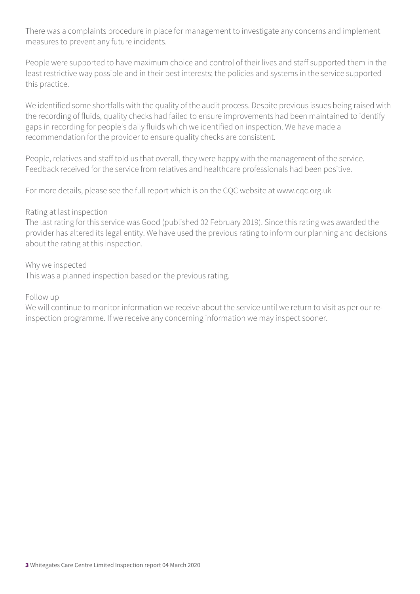There was a complaints procedure in place for management to investigate any concerns and implement measures to prevent any future incidents.

People were supported to have maximum choice and control of their lives and staff supported them in the least restrictive way possible and in their best interests; the policies and systems in the service supported this practice.

We identified some shortfalls with the quality of the audit process. Despite previous issues being raised with the recording of fluids, quality checks had failed to ensure improvements had been maintained to identify gaps in recording for people's daily fluids which we identified on inspection. We have made a recommendation for the provider to ensure quality checks are consistent.

People, relatives and staff told us that overall, they were happy with the management of the service. Feedback received for the service from relatives and healthcare professionals had been positive.

For more details, please see the full report which is on the CQC website at www.cqc.org.uk

#### Rating at last inspection

The last rating for this service was Good (published 02 February 2019). Since this rating was awarded the provider has altered its legal entity. We have used the previous rating to inform our planning and decisions about the rating at this inspection.

Why we inspected

This was a planned inspection based on the previous rating.

Follow up

We will continue to monitor information we receive about the service until we return to visit as per our reinspection programme. If we receive any concerning information we may inspect sooner.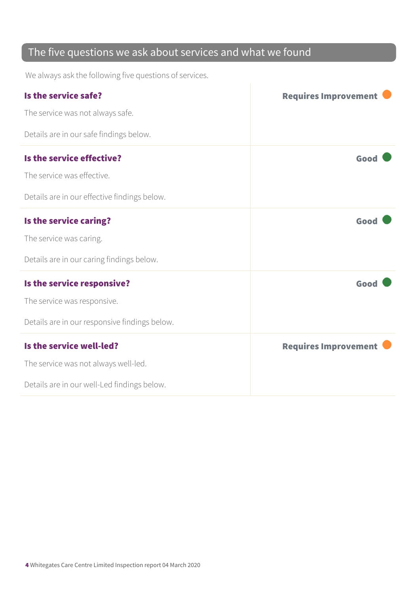### The five questions we ask about services and what we found

We always ask the following five questions of services.

| Is the service safe?                          | <b>Requires Improvement</b> |
|-----------------------------------------------|-----------------------------|
| The service was not always safe.              |                             |
| Details are in our safe findings below.       |                             |
| Is the service effective?                     | Good                        |
| The service was effective.                    |                             |
| Details are in our effective findings below.  |                             |
| Is the service caring?                        | Good                        |
| The service was caring.                       |                             |
| Details are in our caring findings below.     |                             |
| Is the service responsive?                    | Good                        |
| The service was responsive.                   |                             |
| Details are in our responsive findings below. |                             |
| Is the service well-led?                      | <b>Requires Improvement</b> |
| The service was not always well-led.          |                             |
| Details are in our well-Led findings below.   |                             |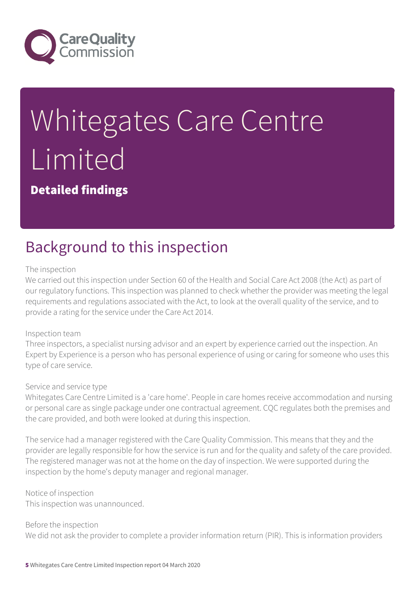

# Whitegates Care Centre **Limited**

Detailed findings

### Background to this inspection

#### The inspection

We carried out this inspection under Section 60 of the Health and Social Care Act 2008 (the Act) as part of our regulatory functions. This inspection was planned to check whether the provider was meeting the legal requirements and regulations associated with the Act, to look at the overall quality of the service, and to provide a rating for the service under the Care Act 2014.

#### Inspection team

Three inspectors, a specialist nursing advisor and an expert by experience carried out the inspection. An Expert by Experience is a person who has personal experience of using or caring for someone who uses this type of care service.

#### Service and service type

Whitegates Care Centre Limited is a 'care home'. People in care homes receive accommodation and nursing or personal care as single package under one contractual agreement. CQC regulates both the premises and the care provided, and both were looked at during this inspection.

The service had a manager registered with the Care Quality Commission. This means that they and the provider are legally responsible for how the service is run and for the quality and safety of the care provided. The registered manager was not at the home on the day of inspection. We were supported during the inspection by the home's deputy manager and regional manager.

#### Notice of inspection

This inspection was unannounced.

#### Before the inspection

We did not ask the provider to complete a provider information return (PIR). This is information providers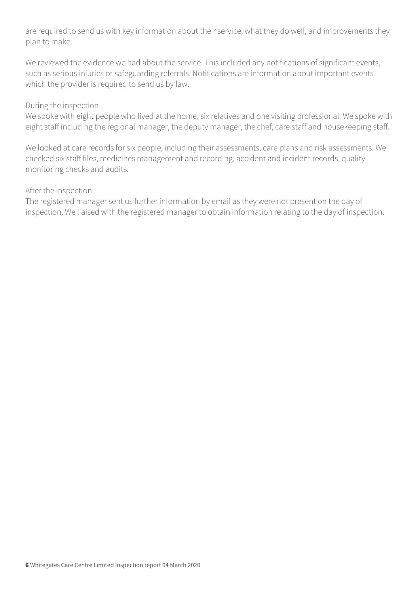are required to send us with key information about their service, what they do well, and improvements they plan to make.

We reviewed the evidence we had about the service. This included any notifications of significant events, such as serious injuries or safeguarding referrals. Notifications are information about important events which the provider is required to send us by law.

#### During the inspection

We spoke with eight people who lived at the home, six relatives and one visiting professional. We spoke with eight staff including the regional manager, the deputy manager, the chef, care staff and housekeeping staff.

We looked at care records for six people, including their assessments, care plans and risk assessments. We checked six staff files, medicines management and recording, accident and incident records, quality monitoring checks and audits.

#### After the inspection

The registered manager sent us further information by email as they were not present on the day of inspection. We liaised with the registered manager to obtain information relating to the day of inspection.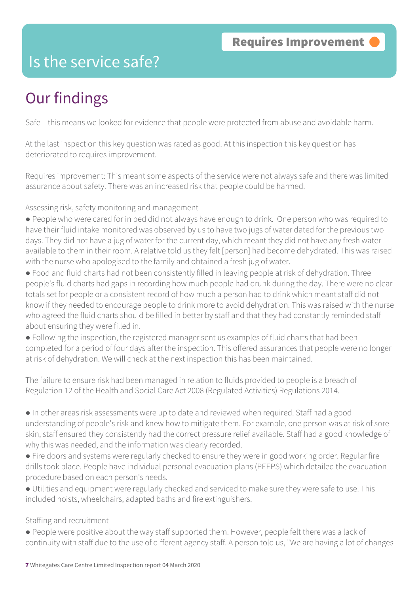### Is the service safe?

# Our findings

Safe – this means we looked for evidence that people were protected from abuse and avoidable harm.

At the last inspection this key question was rated as good. At this inspection this key question has deteriorated to requires improvement.

Requires improvement: This meant some aspects of the service were not always safe and there was limited assurance about safety. There was an increased risk that people could be harmed.

Assessing risk, safety monitoring and management

- People who were cared for in bed did not always have enough to drink. One person who was required to have their fluid intake monitored was observed by us to have two jugs of water dated for the previous two days. They did not have a jug of water for the current day, which meant they did not have any fresh water available to them in their room. A relative told us they felt [person] had become dehydrated. This was raised with the nurse who apologised to the family and obtained a fresh jug of water.
- Food and fluid charts had not been consistently filled in leaving people at risk of dehydration. Three people's fluid charts had gaps in recording how much people had drunk during the day. There were no clear totals set for people or a consistent record of how much a person had to drink which meant staff did not know if they needed to encourage people to drink more to avoid dehydration. This was raised with the nurse who agreed the fluid charts should be filled in better by staff and that they had constantly reminded staff about ensuring they were filled in.
- Following the inspection, the registered manager sent us examples of fluid charts that had been completed for a period of four days after the inspection. This offered assurances that people were no longer at risk of dehydration. We will check at the next inspection this has been maintained.

The failure to ensure risk had been managed in relation to fluids provided to people is a breach of Regulation 12 of the Health and Social Care Act 2008 (Regulated Activities) Regulations 2014.

- In other areas risk assessments were up to date and reviewed when required. Staff had a good understanding of people's risk and knew how to mitigate them. For example, one person was at risk of sore skin, staff ensured they consistently had the correct pressure relief available. Staff had a good knowledge of why this was needed, and the information was clearly recorded.
- Fire doors and systems were regularly checked to ensure they were in good working order. Regular fire drills took place. People have individual personal evacuation plans (PEEPS) which detailed the evacuation procedure based on each person's needs.
- Utilities and equipment were regularly checked and serviced to make sure they were safe to use. This included hoists, wheelchairs, adapted baths and fire extinguishers.

#### Staffing and recruitment

● People were positive about the way staff supported them. However, people felt there was a lack of continuity with staff due to the use of different agency staff. A person told us, "We are having a lot of changes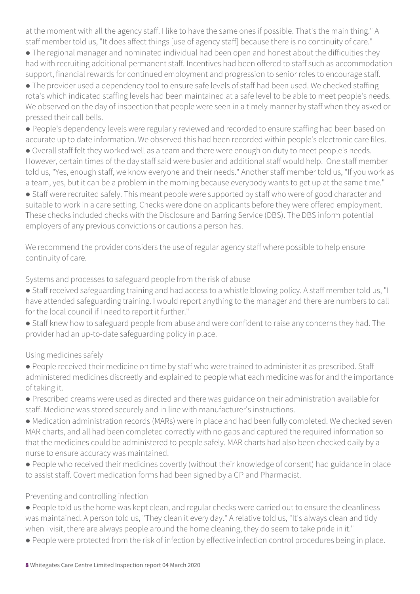at the moment with all the agency staff. I like to have the same ones if possible. That's the main thing." A staff member told us, "It does affect things [use of agency staff] because there is no continuity of care."

● The regional manager and nominated individual had been open and honest about the difficulties they had with recruiting additional permanent staff. Incentives had been offered to staff such as accommodation support, financial rewards for continued employment and progression to senior roles to encourage staff.

● The provider used a dependency tool to ensure safe levels of staff had been used. We checked staffing rota's which indicated staffing levels had been maintained at a safe level to be able to meet people's needs. We observed on the day of inspection that people were seen in a timely manner by staff when they asked or pressed their call bells.

● People's dependency levels were regularly reviewed and recorded to ensure staffing had been based on accurate up to date information. We observed this had been recorded within people's electronic care files.

● Overall staff felt they worked well as a team and there were enough on duty to meet people's needs. However, certain times of the day staff said were busier and additional staff would help. One staff member told us, "Yes, enough staff, we know everyone and their needs." Another staff member told us, "If you work as a team, yes, but it can be a problem in the morning because everybody wants to get up at the same time."

● Staff were recruited safely. This meant people were supported by staff who were of good character and suitable to work in a care setting. Checks were done on applicants before they were offered employment. These checks included checks with the Disclosure and Barring Service (DBS). The DBS inform potential employers of any previous convictions or cautions a person has.

We recommend the provider considers the use of regular agency staff where possible to help ensure continuity of care.

Systems and processes to safeguard people from the risk of abuse

- Staff received safeguarding training and had access to a whistle blowing policy. A staff member told us, "I have attended safeguarding training. I would report anything to the manager and there are numbers to call for the local council if I need to report it further."
- Staff knew how to safeguard people from abuse and were confident to raise any concerns they had. The provider had an up-to-date safeguarding policy in place.

### Using medicines safely

- People received their medicine on time by staff who were trained to administer it as prescribed. Staff administered medicines discreetly and explained to people what each medicine was for and the importance of taking it.
- Prescribed creams were used as directed and there was guidance on their administration available for staff. Medicine was stored securely and in line with manufacturer's instructions.

● Medication administration records (MARs) were in place and had been fully completed. We checked seven MAR charts, and all had been completed correctly with no gaps and captured the required information so that the medicines could be administered to people safely. MAR charts had also been checked daily by a nurse to ensure accuracy was maintained.

● People who received their medicines covertly (without their knowledge of consent) had guidance in place to assist staff. Covert medication forms had been signed by a GP and Pharmacist.

### Preventing and controlling infection

- People told us the home was kept clean, and regular checks were carried out to ensure the cleanliness was maintained. A person told us, "They clean it every day." A relative told us, "It's always clean and tidy when I visit, there are always people around the home cleaning, they do seem to take pride in it."
- People were protected from the risk of infection by effective infection control procedures being in place.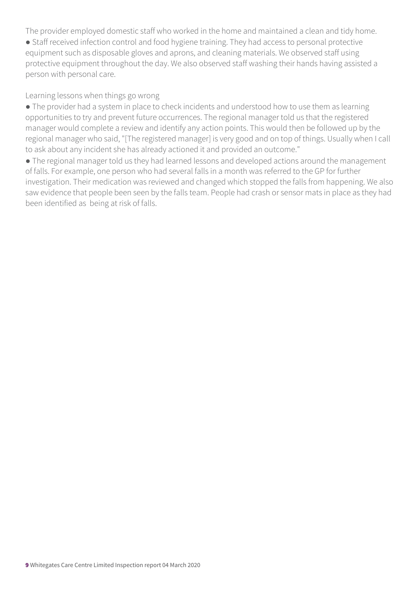The provider employed domestic staff who worked in the home and maintained a clean and tidy home.

● Staff received infection control and food hygiene training. They had access to personal protective equipment such as disposable gloves and aprons, and cleaning materials. We observed staff using protective equipment throughout the day. We also observed staff washing their hands having assisted a person with personal care.

Learning lessons when things go wrong

● The provider had a system in place to check incidents and understood how to use them as learning opportunities to try and prevent future occurrences. The regional manager told us that the registered manager would complete a review and identify any action points. This would then be followed up by the regional manager who said, "[The registered manager] is very good and on top of things. Usually when I call to ask about any incident she has already actioned it and provided an outcome."

• The regional manager told us they had learned lessons and developed actions around the management of falls. For example, one person who had several falls in a month was referred to the GP for further investigation. Their medication was reviewed and changed which stopped the falls from happening. We also saw evidence that people been seen by the falls team. People had crash or sensor mats in place as they had been identified as being at risk of falls.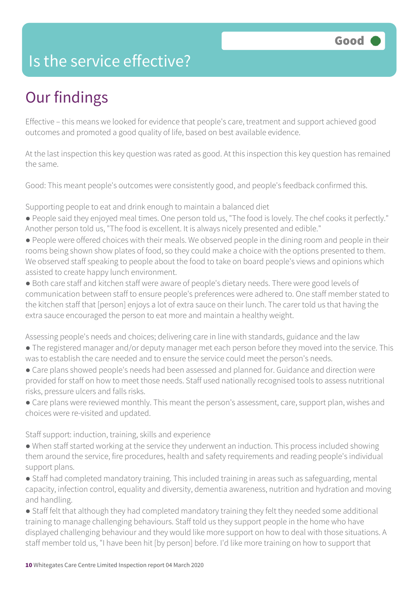### Is the service effective?

# Our findings

Effective – this means we looked for evidence that people's care, treatment and support achieved good outcomes and promoted a good quality of life, based on best available evidence.

At the last inspection this key question was rated as good. At this inspection this key question has remained the same.

Good: This meant people's outcomes were consistently good, and people's feedback confirmed this.

Supporting people to eat and drink enough to maintain a balanced diet

- People said they enjoyed meal times. One person told us, "The food is lovely. The chef cooks it perfectly." Another person told us, "The food is excellent. It is always nicely presented and edible."
- People were offered choices with their meals. We observed people in the dining room and people in their rooms being shown show plates of food, so they could make a choice with the options presented to them. We observed staff speaking to people about the food to take on board people's views and opinions which assisted to create happy lunch environment.
- Both care staff and kitchen staff were aware of people's dietary needs. There were good levels of communication between staff to ensure people's preferences were adhered to. One staff member stated to the kitchen staff that [person] enjoys a lot of extra sauce on their lunch. The carer told us that having the extra sauce encouraged the person to eat more and maintain a healthy weight.

Assessing people's needs and choices; delivering care in line with standards, guidance and the law

- The registered manager and/or deputy manager met each person before they moved into the service. This was to establish the care needed and to ensure the service could meet the person's needs.
- Care plans showed people's needs had been assessed and planned for. Guidance and direction were provided for staff on how to meet those needs. Staff used nationally recognised tools to assess nutritional risks, pressure ulcers and falls risks.
- Care plans were reviewed monthly. This meant the person's assessment, care, support plan, wishes and choices were re-visited and updated.

Staff support: induction, training, skills and experience

- When staff started working at the service they underwent an induction. This process included showing them around the service, fire procedures, health and safety requirements and reading people's individual support plans.
- Staff had completed mandatory training. This included training in areas such as safeguarding, mental capacity, infection control, equality and diversity, dementia awareness, nutrition and hydration and moving and handling.
- Staff felt that although they had completed mandatory training they felt they needed some additional training to manage challenging behaviours. Staff told us they support people in the home who have displayed challenging behaviour and they would like more support on how to deal with those situations. A staff member told us, "I have been hit [by person] before. I'd like more training on how to support that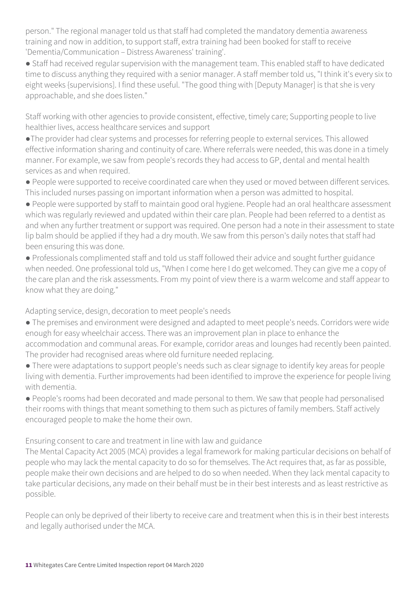person." The regional manager told us that staff had completed the mandatory dementia awareness training and now in addition, to support staff, extra training had been booked for staff to receive 'Dementia/Communication – Distress Awareness' training'.

● Staff had received regular supervision with the management team. This enabled staff to have dedicated time to discuss anything they required with a senior manager. A staff member told us, "I think it's every six to eight weeks {supervisions]. I find these useful. "The good thing with [Deputy Manager] is that she is very approachable, and she does listen."

Staff working with other agencies to provide consistent, effective, timely care; Supporting people to live healthier lives, access healthcare services and support

●The provider had clear systems and processes for referring people to external services. This allowed effective information sharing and continuity of care. Where referrals were needed, this was done in a timely manner. For example, we saw from people's records they had access to GP, dental and mental health services as and when required.

● People were supported to receive coordinated care when they used or moved between different services. This included nurses passing on important information when a person was admitted to hospital.

● People were supported by staff to maintain good oral hygiene. People had an oral healthcare assessment which was regularly reviewed and updated within their care plan. People had been referred to a dentist as and when any further treatment or support was required. One person had a note in their assessment to state lip balm should be applied if they had a dry mouth. We saw from this person's daily notes that staff had been ensuring this was done.

● Professionals complimented staff and told us staff followed their advice and sought further guidance when needed. One professional told us, "When I come here I do get welcomed. They can give me a copy of the care plan and the risk assessments. From my point of view there is a warm welcome and staff appear to know what they are doing."

Adapting service, design, decoration to meet people's needs

● The premises and environment were designed and adapted to meet people's needs. Corridors were wide enough for easy wheelchair access. There was an improvement plan in place to enhance the accommodation and communal areas. For example, corridor areas and lounges had recently been painted. The provider had recognised areas where old furniture needed replacing.

● There were adaptations to support people's needs such as clear signage to identify key areas for people living with dementia. Further improvements had been identified to improve the experience for people living with dementia.

● People's rooms had been decorated and made personal to them. We saw that people had personalised their rooms with things that meant something to them such as pictures of family members. Staff actively encouraged people to make the home their own.

Ensuring consent to care and treatment in line with law and guidance

The Mental Capacity Act 2005 (MCA) provides a legal framework for making particular decisions on behalf of people who may lack the mental capacity to do so for themselves. The Act requires that, as far as possible, people make their own decisions and are helped to do so when needed. When they lack mental capacity to take particular decisions, any made on their behalf must be in their best interests and as least restrictive as possible.

People can only be deprived of their liberty to receive care and treatment when this is in their best interests and legally authorised under the MCA.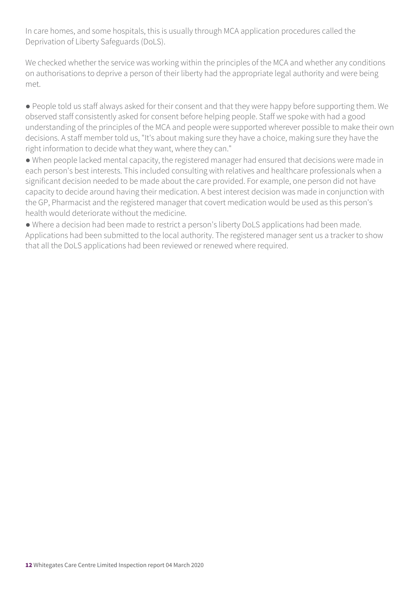In care homes, and some hospitals, this is usually through MCA application procedures called the Deprivation of Liberty Safeguards (DoLS).

We checked whether the service was working within the principles of the MCA and whether any conditions on authorisations to deprive a person of their liberty had the appropriate legal authority and were being met.

● People told us staff always asked for their consent and that they were happy before supporting them. We observed staff consistently asked for consent before helping people. Staff we spoke with had a good understanding of the principles of the MCA and people were supported wherever possible to make their own decisions. A staff member told us, "It's about making sure they have a choice, making sure they have the right information to decide what they want, where they can."

● When people lacked mental capacity, the registered manager had ensured that decisions were made in each person's best interests. This included consulting with relatives and healthcare professionals when a significant decision needed to be made about the care provided. For example, one person did not have capacity to decide around having their medication. A best interest decision was made in conjunction with the GP, Pharmacist and the registered manager that covert medication would be used as this person's health would deteriorate without the medicine.

● Where a decision had been made to restrict a person's liberty DoLS applications had been made. Applications had been submitted to the local authority. The registered manager sent us a tracker to show that all the DoLS applications had been reviewed or renewed where required.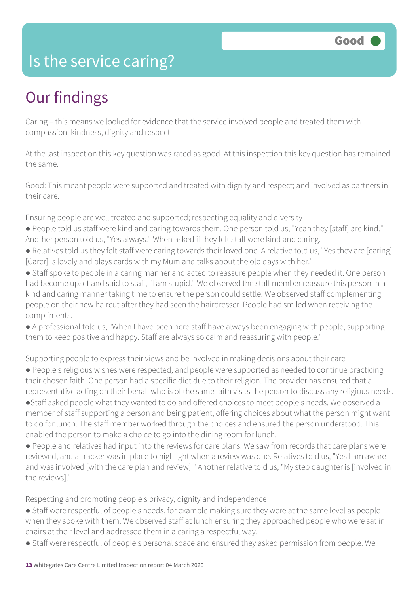### Is the service caring?

# Our findings

Caring – this means we looked for evidence that the service involved people and treated them with compassion, kindness, dignity and respect.

At the last inspection this key question was rated as good. At this inspection this key question has remained the same.

Good: This meant people were supported and treated with dignity and respect; and involved as partners in their care.

Ensuring people are well treated and supported; respecting equality and diversity

- People told us staff were kind and caring towards them. One person told us, "Yeah they [staff] are kind." Another person told us, "Yes always." When asked if they felt staff were kind and caring.
- Relatives told us they felt staff were caring towards their loved one. A relative told us, "Yes they are [caring]. [Carer] is lovely and plays cards with my Mum and talks about the old days with her."
- Staff spoke to people in a caring manner and acted to reassure people when they needed it. One person had become upset and said to staff, "I am stupid." We observed the staff member reassure this person in a kind and caring manner taking time to ensure the person could settle. We observed staff complementing people on their new haircut after they had seen the hairdresser. People had smiled when receiving the compliments.
- A professional told us, "When I have been here staff have always been engaging with people, supporting them to keep positive and happy. Staff are always so calm and reassuring with people."

Supporting people to express their views and be involved in making decisions about their care

● People's religious wishes were respected, and people were supported as needed to continue practicing their chosen faith. One person had a specific diet due to their religion. The provider has ensured that a representative acting on their behalf who is of the same faith visits the person to discuss any religious needs. ●Staff asked people what they wanted to do and offered choices to meet people's needs. We observed a

member of staff supporting a person and being patient, offering choices about what the person might want to do for lunch. The staff member worked through the choices and ensured the person understood. This enabled the person to make a choice to go into the dining room for lunch.

● People and relatives had input into the reviews for care plans. We saw from records that care plans were reviewed, and a tracker was in place to highlight when a review was due. Relatives told us, "Yes I am aware and was involved [with the care plan and review]." Another relative told us, "My step daughter is [involved in the reviews]."

Respecting and promoting people's privacy, dignity and independence

- Staff were respectful of people's needs, for example making sure they were at the same level as people when they spoke with them. We observed staff at lunch ensuring they approached people who were sat in chairs at their level and addressed them in a caring a respectful way.
- Staff were respectful of people's personal space and ensured they asked permission from people. We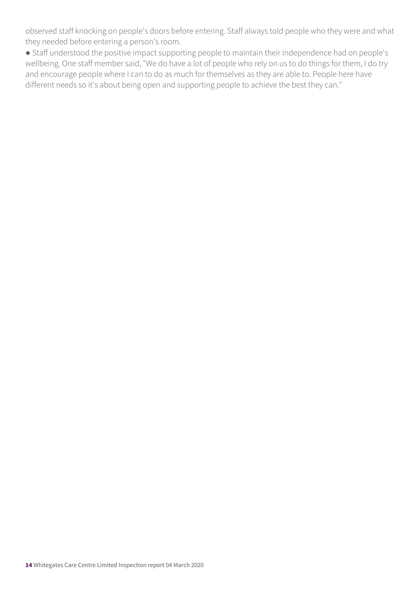observed staff knocking on people's doors before entering. Staff always told people who they were and what they needed before entering a person's room.

● Staff understood the positive impact supporting people to maintain their independence had on people's wellbeing. One staff member said, "We do have a lot of people who rely on us to do things for them, I do try and encourage people where I can to do as much for themselves as they are able to. People here have different needs so it's about being open and supporting people to achieve the best they can."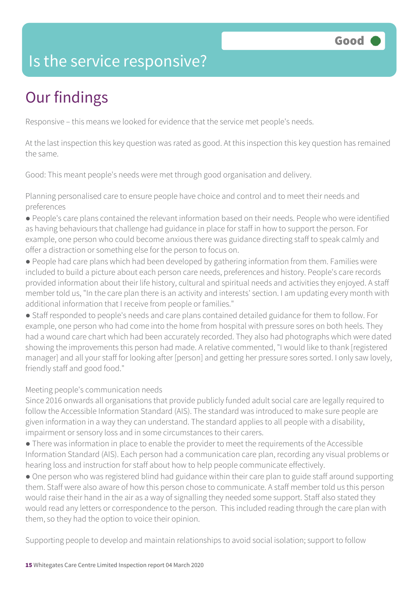### Is the service responsive?

# Our findings

Responsive – this means we looked for evidence that the service met people's needs.

At the last inspection this key question was rated as good. At this inspection this key question has remained the same.

Good: This meant people's needs were met through good organisation and delivery.

Planning personalised care to ensure people have choice and control and to meet their needs and preferences

- People's care plans contained the relevant information based on their needs. People who were identified as having behaviours that challenge had guidance in place for staff in how to support the person. For example, one person who could become anxious there was guidance directing staff to speak calmly and offer a distraction or something else for the person to focus on.
- People had care plans which had been developed by gathering information from them. Families were included to build a picture about each person care needs, preferences and history. People's care records provided information about their life history, cultural and spiritual needs and activities they enjoyed. A staff member told us, "In the care plan there is an activity and interests' section. I am updating every month with additional information that I receive from people or families."
- Staff responded to people's needs and care plans contained detailed guidance for them to follow. For example, one person who had come into the home from hospital with pressure sores on both heels. They had a wound care chart which had been accurately recorded. They also had photographs which were dated showing the improvements this person had made. A relative commented, "I would like to thank [registered manager] and all your staff for looking after [person] and getting her pressure sores sorted. I only saw lovely, friendly staff and good food."

### Meeting people's communication needs

Since 2016 onwards all organisations that provide publicly funded adult social care are legally required to follow the Accessible Information Standard (AIS). The standard was introduced to make sure people are given information in a way they can understand. The standard applies to all people with a disability, impairment or sensory loss and in some circumstances to their carers.

- There was information in place to enable the provider to meet the requirements of the Accessible Information Standard (AIS). Each person had a communication care plan, recording any visual problems or hearing loss and instruction for staff about how to help people communicate effectively.
- One person who was registered blind had guidance within their care plan to guide staff around supporting them. Staff were also aware of how this person chose to communicate. A staff member told us this person would raise their hand in the air as a way of signalling they needed some support. Staff also stated they would read any letters or correspondence to the person. This included reading through the care plan with them, so they had the option to voice their opinion.

Supporting people to develop and maintain relationships to avoid social isolation; support to follow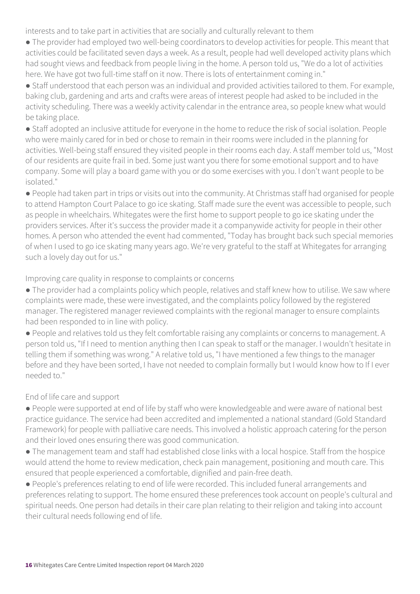interests and to take part in activities that are socially and culturally relevant to them

● The provider had employed two well-being coordinators to develop activities for people. This meant that activities could be facilitated seven days a week. As a result, people had well developed activity plans which had sought views and feedback from people living in the home. A person told us, "We do a lot of activities here. We have got two full-time staff on it now. There is lots of entertainment coming in."

● Staff understood that each person was an individual and provided activities tailored to them. For example, baking club, gardening and arts and crafts were areas of interest people had asked to be included in the activity scheduling. There was a weekly activity calendar in the entrance area, so people knew what would be taking place.

● Staff adopted an inclusive attitude for everyone in the home to reduce the risk of social isolation. People who were mainly cared for in bed or chose to remain in their rooms were included in the planning for activities. Well-being staff ensured they visited people in their rooms each day. A staff member told us, "Most of our residents are quite frail in bed. Some just want you there for some emotional support and to have company. Some will play a board game with you or do some exercises with you. I don't want people to be isolated."

● People had taken part in trips or visits out into the community. At Christmas staff had organised for people to attend Hampton Court Palace to go ice skating. Staff made sure the event was accessible to people, such as people in wheelchairs. Whitegates were the first home to support people to go ice skating under the providers services. After it's success the provider made it a companywide activity for people in their other homes. A person who attended the event had commented, "Today has brought back such special memories of when I used to go ice skating many years ago. We're very grateful to the staff at Whitegates for arranging such a lovely day out for us."

#### Improving care quality in response to complaints or concerns

● The provider had a complaints policy which people, relatives and staff knew how to utilise. We saw where complaints were made, these were investigated, and the complaints policy followed by the registered manager. The registered manager reviewed complaints with the regional manager to ensure complaints had been responded to in line with policy.

● People and relatives told us they felt comfortable raising any complaints or concerns to management. A person told us, "If I need to mention anything then I can speak to staff or the manager. I wouldn't hesitate in telling them if something was wrong." A relative told us, "I have mentioned a few things to the manager before and they have been sorted, I have not needed to complain formally but I would know how to If I ever needed to."

### End of life care and support

● People were supported at end of life by staff who were knowledgeable and were aware of national best practice guidance. The service had been accredited and implemented a national standard (Gold Standard Framework) for people with palliative care needs. This involved a holistic approach catering for the person and their loved ones ensuring there was good communication.

● The management team and staff had established close links with a local hospice. Staff from the hospice would attend the home to review medication, check pain management, positioning and mouth care. This ensured that people experienced a comfortable, dignified and pain-free death.

● People's preferences relating to end of life were recorded. This included funeral arrangements and preferences relating to support. The home ensured these preferences took account on people's cultural and spiritual needs. One person had details in their care plan relating to their religion and taking into account their cultural needs following end of life.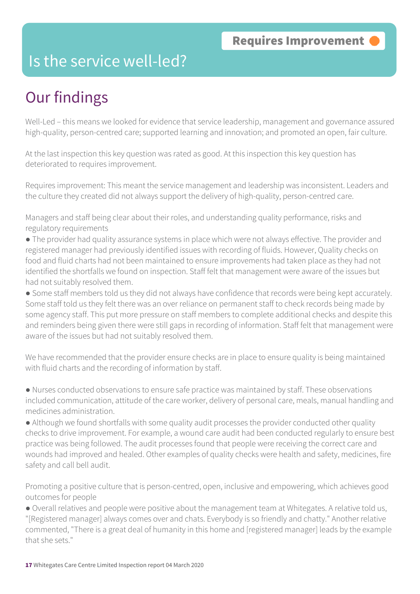### Is the service well-led?

# Our findings

Well-Led – this means we looked for evidence that service leadership, management and governance assured high-quality, person-centred care; supported learning and innovation; and promoted an open, fair culture.

At the last inspection this key question was rated as good. At this inspection this key question has deteriorated to requires improvement.

Requires improvement: This meant the service management and leadership was inconsistent. Leaders and the culture they created did not always support the delivery of high-quality, person-centred care.

Managers and staff being clear about their roles, and understanding quality performance, risks and regulatory requirements

● The provider had quality assurance systems in place which were not always effective. The provider and registered manager had previously identified issues with recording of fluids. However, Quality checks on food and fluid charts had not been maintained to ensure improvements had taken place as they had not identified the shortfalls we found on inspection. Staff felt that management were aware of the issues but had not suitably resolved them.

● Some staff members told us they did not always have confidence that records were being kept accurately. Some staff told us they felt there was an over reliance on permanent staff to check records being made by some agency staff. This put more pressure on staff members to complete additional checks and despite this and reminders being given there were still gaps in recording of information. Staff felt that management were aware of the issues but had not suitably resolved them.

We have recommended that the provider ensure checks are in place to ensure quality is being maintained with fluid charts and the recording of information by staff.

● Nurses conducted observations to ensure safe practice was maintained by staff. These observations included communication, attitude of the care worker, delivery of personal care, meals, manual handling and medicines administration.

● Although we found shortfalls with some quality audit processes the provider conducted other quality checks to drive improvement. For example, a wound care audit had been conducted regularly to ensure best practice was being followed. The audit processes found that people were receiving the correct care and wounds had improved and healed. Other examples of quality checks were health and safety, medicines, fire safety and call bell audit.

Promoting a positive culture that is person-centred, open, inclusive and empowering, which achieves good outcomes for people

● Overall relatives and people were positive about the management team at Whitegates. A relative told us, "[Registered manager] always comes over and chats. Everybody is so friendly and chatty." Another relative commented, "There is a great deal of humanity in this home and [registered manager] leads by the example that she sets."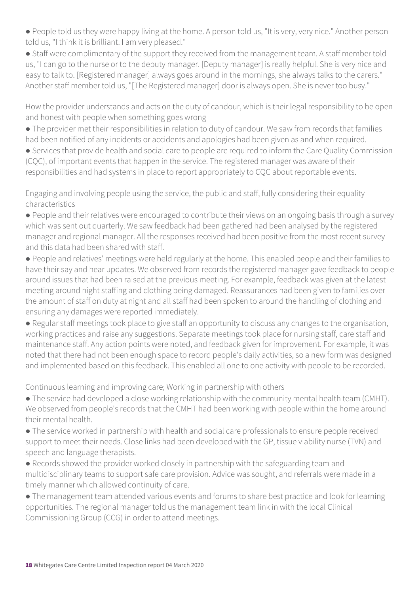● People told us they were happy living at the home. A person told us, "It is very, very nice." Another person told us, "I think it is brilliant. I am very pleased."

● Staff were complimentary of the support they received from the management team. A staff member told us, "I can go to the nurse or to the deputy manager. [Deputy manager] is really helpful. She is very nice and easy to talk to. [Registered manager] always goes around in the mornings, she always talks to the carers." Another staff member told us, "[The Registered manager] door is always open. She is never too busy."

How the provider understands and acts on the duty of candour, which is their legal responsibility to be open and honest with people when something goes wrong

- The provider met their responsibilities in relation to duty of candour. We saw from records that families had been notified of any incidents or accidents and apologies had been given as and when required.
- Services that provide health and social care to people are required to inform the Care Quality Commission (CQC), of important events that happen in the service. The registered manager was aware of their responsibilities and had systems in place to report appropriately to CQC about reportable events.

Engaging and involving people using the service, the public and staff, fully considering their equality characteristics

- People and their relatives were encouraged to contribute their views on an ongoing basis through a survey which was sent out quarterly. We saw feedback had been gathered had been analysed by the registered manager and regional manager. All the responses received had been positive from the most recent survey and this data had been shared with staff.
- People and relatives' meetings were held regularly at the home. This enabled people and their families to have their say and hear updates. We observed from records the registered manager gave feedback to people around issues that had been raised at the previous meeting. For example, feedback was given at the latest meeting around night staffing and clothing being damaged. Reassurances had been given to families over the amount of staff on duty at night and all staff had been spoken to around the handling of clothing and ensuring any damages were reported immediately.
- Regular staff meetings took place to give staff an opportunity to discuss any changes to the organisation, working practices and raise any suggestions. Separate meetings took place for nursing staff, care staff and maintenance staff. Any action points were noted, and feedback given for improvement. For example, it was noted that there had not been enough space to record people's daily activities, so a new form was designed and implemented based on this feedback. This enabled all one to one activity with people to be recorded.

Continuous learning and improving care; Working in partnership with others

- The service had developed a close working relationship with the community mental health team (CMHT). We observed from people's records that the CMHT had been working with people within the home around their mental health.
- The service worked in partnership with health and social care professionals to ensure people received support to meet their needs. Close links had been developed with the GP, tissue viability nurse (TVN) and speech and language therapists.
- Records showed the provider worked closely in partnership with the safeguarding team and multidisciplinary teams to support safe care provision. Advice was sought, and referrals were made in a timely manner which allowed continuity of care.
- The management team attended various events and forums to share best practice and look for learning opportunities. The regional manager told us the management team link in with the local Clinical Commissioning Group (CCG) in order to attend meetings.